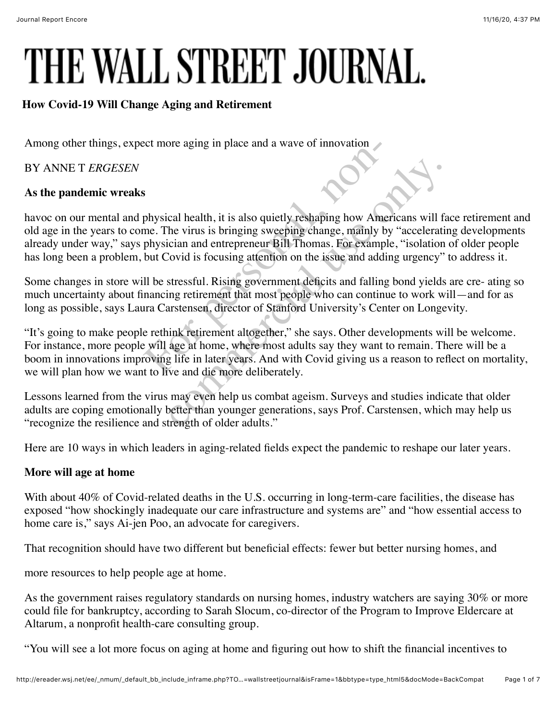# THE WALL STREET JOURNAL.

## **How Covid-19 Will Change Aging and Retirement**

Among other things, expect more aging in place and a wave of innovation

BY ANNE T *ERGESEN*

### **As the pandemic wreaks**

havoc on our mental and physical health, it is also quietly reshaping how Americans will face retirement and old age in the years to come. The virus is bringing sweeping change, mainly by "accelerating developments already under way," says physician and entrepreneur Bill Thomas. For example, "isolation of older people has long been a problem, but Covid is focusing attention on the issue and adding urgency" to address it. For more aging in place and a wave of innovation<br>physical health, it is also quietly reshaping how Am<br>me. The virus is bringing sweeping change, mainly<br>physician and entrepreneur Bill Thomas. For examp<br>but Covid is focusin cal health, it is also quietly reshaping how Americans will the virus is bringing sweeping change, mainly by "accelerat<br>ician and entrepreneur Bill Thomas. For example, "isolatior<br>Covid is focusing attention on the issue a

Some changes in store will be stressful. Rising government deficits and falling bond yields are cre- ating so much uncertainty about financing retirement that most people who can continue to work will—and for as long as possible, says Laura Carstensen, director of Stanford University's Center on Longevity.

"It's going to make people rethink retirement altogether," she says. Other developments will be welcome. For instance, more people will age at home, where most adults say they want to remain. There will be a boom in innovations improving life in later years. And with Covid giving us a reason to reflect on mortality, we will plan how we want to live and die more deliberately.

Lessons learned from the virus may even help us combat ageism. Surveys and studies indicate that older adults are coping emotionally better than younger generations, says Prof. Carstensen, which may help us "recognize the resilience and strength of older adults."

Here are 10 ways in which leaders in aging-related fields expect the pandemic to reshape our later years.

## **More will age at home**

With about 40% of Covid-related deaths in the U.S. occurring in long-term-care facilities, the disease has exposed "how shockingly inadequate our care infrastructure and systems are" and "how essential access to home care is," says Ai-jen Poo, an advocate for caregivers.

That recognition should have two different but beneficial effects: fewer but better nursing homes, and

more resources to help people age at home.

As the government raises regulatory standards on nursing homes, industry watchers are saying 30% or more could file for bankruptcy, according to Sarah Slocum, co-director of the Program to Improve Eldercare at Altarum, a nonprofit health-care consulting group.

"You will see a lot more focus on aging at home and figuring out how to shift the financial incentives to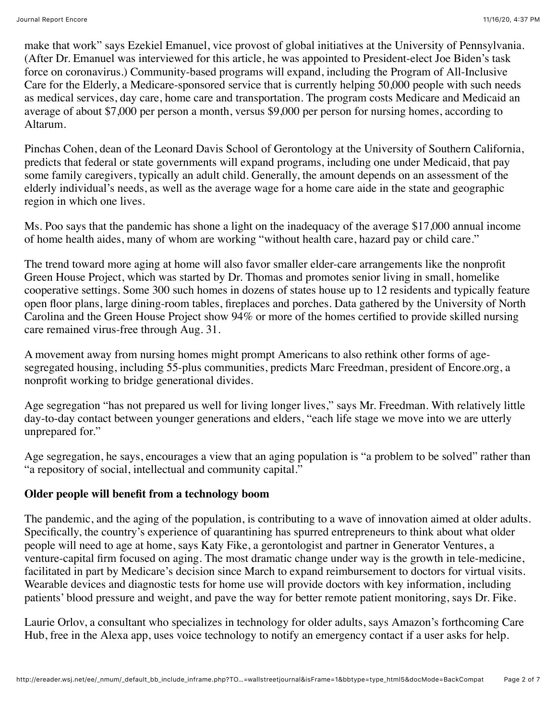make that work" says Ezekiel Emanuel, vice provost of global initiatives at the University of Pennsylvania. (After Dr. Emanuel was interviewed for this article, he was appointed to President-elect Joe Biden's task force on coronavirus.) Community-based programs will expand, including the Program of All-Inclusive Care for the Elderly, a Medicare-sponsored service that is currently helping 50,000 people with such needs as medical services, day care, home care and transportation. The program costs Medicare and Medicaid an average of about \$7,000 per person a month, versus \$9,000 per person for nursing homes, according to Altarum.

Pinchas Cohen, dean of the Leonard Davis School of Gerontology at the University of Southern California, predicts that federal or state governments will expand programs, including one under Medicaid, that pay some family caregivers, typically an adult child. Generally, the amount depends on an assessment of the elderly individual's needs, as well as the average wage for a home care aide in the state and geographic region in which one lives.

Ms. Poo says that the pandemic has shone a light on the inadequacy of the average \$17,000 annual income of home health aides, many of whom are working "without health care, hazard pay or child care."

The trend toward more aging at home will also favor smaller elder-care arrangements like the nonprofit Green House Project, which was started by Dr. Thomas and promotes senior living in small, homelike cooperative settings. Some 300 such homes in dozens of states house up to 12 residents and typically feature open floor plans, large dining-room tables, fireplaces and porches. Data gathered by the University of North Carolina and the Green House Project show 94% or more of the homes certified to provide skilled nursing care remained virus-free through Aug. 31.

A movement away from nursing homes might prompt Americans to also rethink other forms of agesegregated housing, including 55-plus communities, predicts Marc Freedman, president of Encore.org, a nonprofit working to bridge generational divides.

Age segregation "has not prepared us well for living longer lives," says Mr. Freedman. With relatively little day-to-day contact between younger generations and elders, "each life stage we move into we are utterly unprepared for."

Age segregation, he says, encourages a view that an aging population is "a problem to be solved" rather than "a repository of social, intellectual and community capital."

#### **Older people will benefit from a technology boom**

The pandemic, and the aging of the population, is contributing to a wave of innovation aimed at older adults. Specifically, the country's experience of quarantining has spurred entrepreneurs to think about what older people will need to age at home, says Katy Fike, a gerontologist and partner in Generator Ventures, a venture-capital firm focused on aging. The most dramatic change under way is the growth in tele-medicine, facilitated in part by Medicare's decision since March to expand reimbursement to doctors for virtual visits. Wearable devices and diagnostic tests for home use will provide doctors with key information, including patients' blood pressure and weight, and pave the way for better remote patient monitoring, says Dr. Fike.

Laurie Orlov, a consultant who specializes in technology for older adults, says Amazon's forthcoming Care Hub, free in the Alexa app, uses voice technology to notify an emergency contact if a user asks for help.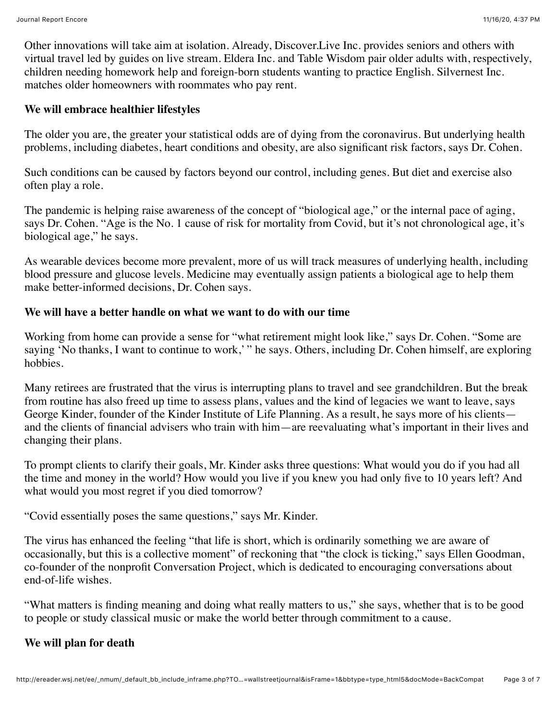Other innovations will take aim at isolation. Already, Discover.Live Inc. provides seniors and others with virtual travel led by guides on live stream. Eldera Inc. and Table Wisdom pair older adults with, respectively, children needing homework help and foreign-born students wanting to practice English. Silvernest Inc. matches older homeowners with roommates who pay rent.

#### **We will embrace healthier lifestyles**

The older you are, the greater your statistical odds are of dying from the coronavirus. But underlying health problems, including diabetes, heart conditions and obesity, are also significant risk factors, says Dr. Cohen.

Such conditions can be caused by factors beyond our control, including genes. But diet and exercise also often play a role.

The pandemic is helping raise awareness of the concept of "biological age," or the internal pace of aging, says Dr. Cohen. "Age is the No. 1 cause of risk for mortality from Covid, but it's not chronological age, it's biological age," he says.

As wearable devices become more prevalent, more of us will track measures of underlying health, including blood pressure and glucose levels. Medicine may eventually assign patients a biological age to help them make better-informed decisions, Dr. Cohen says.

#### **We will have a better handle on what we want to do with our time**

Working from home can provide a sense for "what retirement might look like," says Dr. Cohen. "Some are saying 'No thanks, I want to continue to work,' " he says. Others, including Dr. Cohen himself, are exploring hobbies.

Many retirees are frustrated that the virus is interrupting plans to travel and see grandchildren. But the break from routine has also freed up time to assess plans, values and the kind of legacies we want to leave, says George Kinder, founder of the Kinder Institute of Life Planning. As a result, he says more of his clients and the clients of financial advisers who train with him—are reevaluating what's important in their lives and changing their plans.

To prompt clients to clarify their goals, Mr. Kinder asks three questions: What would you do if you had all the time and money in the world? How would you live if you knew you had only five to 10 years left? And what would you most regret if you died tomorrow?

"Covid essentially poses the same questions," says Mr. Kinder.

The virus has enhanced the feeling "that life is short, which is ordinarily something we are aware of occasionally, but this is a collective moment" of reckoning that "the clock is ticking," says Ellen Goodman, co-founder of the nonprofit Conversation Project, which is dedicated to encouraging conversations about end-of-life wishes.

"What matters is finding meaning and doing what really matters to us," she says, whether that is to be good to people or study classical music or make the world better through commitment to a cause.

#### **We will plan for death**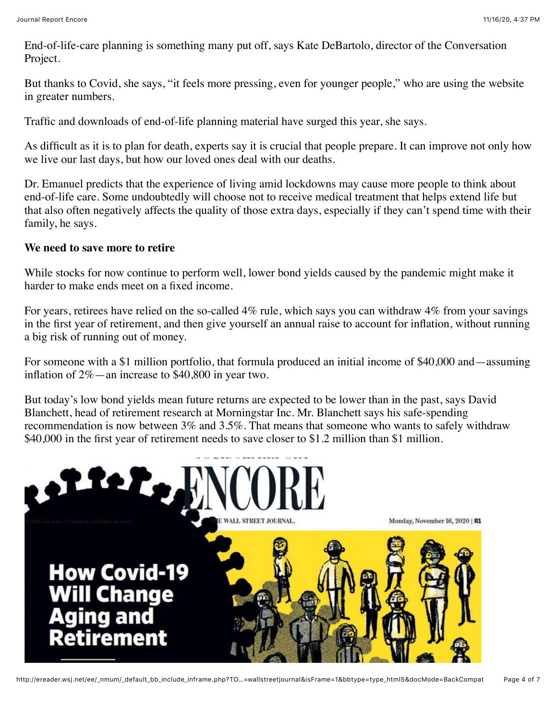End-of-life-care planning is something many put off, says Kate DeBartolo, director of the Conversation Project.

But thanks to Covid, she says, "it feels more pressing, even for younger people," who are using the website in greater numbers.

Traffic and downloads of end-of-life planning material have surged this year, she says.

As difficult as it is to plan for death, experts say it is crucial that people prepare. It can improve not only how we live our last days, but how our loved ones deal with our deaths.

Dr. Emanuel predicts that the experience of living amid lockdowns may cause more people to think about end-of-life care. Some undoubtedly will choose not to receive medical treatment that helps extend life but that also often negatively affects the quality of those extra days, especially if they can't spend time with their family, he says.

#### **We need to save more to retire**

While stocks for now continue to perform well, lower bond yields caused by the pandemic might make it harder to make ends meet on a fixed income.

For years, retirees have relied on the so-called 4% rule, which says you can withdraw 4% from your savings in the first year of retirement, and then give yourself an annual raise to account for inflation, without running a big risk of running out of money.

For someone with a \$1 million portfolio, that formula produced an initial income of \$40,000 and—assuming inflation of 2%—an increase to \$40,800 in year two.

But today's low bond yields mean future returns are expected to be lower than in the past, says David Blanchett, head of retirement research at Morningstar Inc. Mr. Blanchett says his safe-spending recommendation is now between 3% and 3.5%. That means that someone who wants to safely withdraw \$40,000 in the first year of retirement needs to save closer to \$1.2 million than \$1 million.

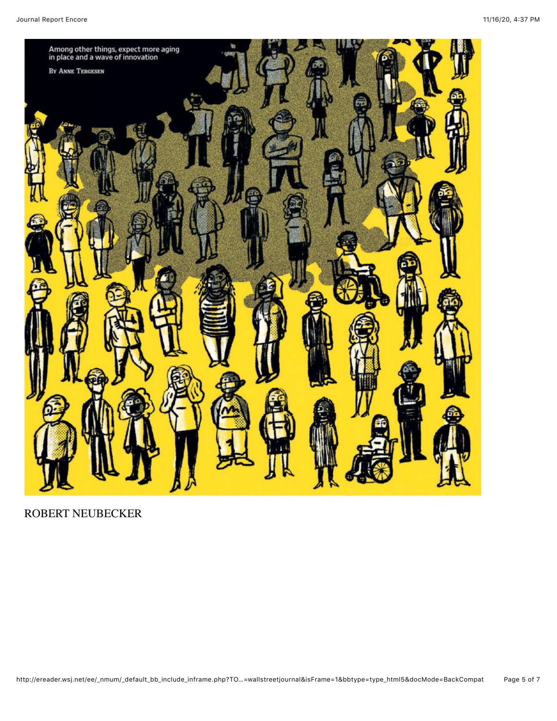

# ROBERT NEUBECKER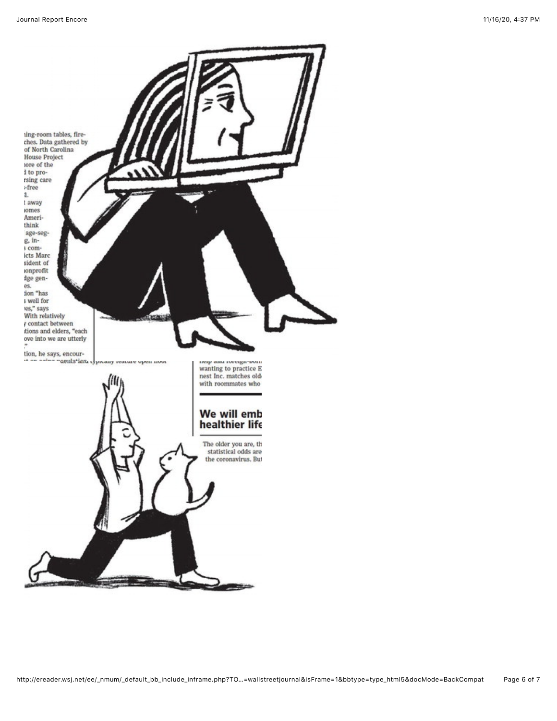